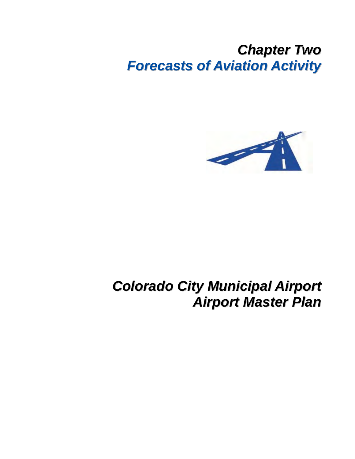# *Chapter Two Forecasts of Aviation Activity*



# *Colorado City Municipal Airport Airport Master Plan*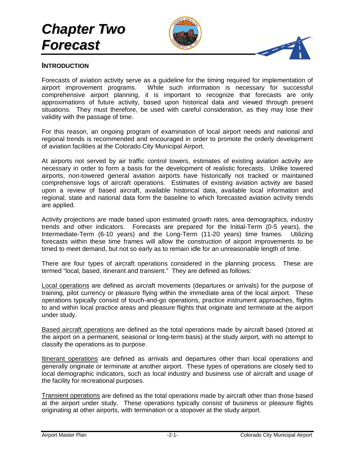# *Chapter Two Forecast*



#### **INTRODUCTION**

Forecasts of aviation activity serve as a guideline for the timing required for implementation of airport improvement programs. While such information is necessary for successful comprehensive airport planning, it is important to recognize that forecasts are only approximations of future activity, based upon historical data and viewed through present situations. They must therefore, be used with careful consideration, as they may lose their validity with the passage of time.

For this reason, an ongoing program of examination of local airport needs and national and regional trends is recommended and encouraged in order to promote the orderly development of aviation facilities at the Colorado City Municipal Airport.

At airports not served by air traffic control towers, estimates of existing aviation activity are necessary in order to form a basis for the development of realistic forecasts. Unlike towered airports, non-towered general aviation airports have historically not tracked or maintained comprehensive logs of aircraft operations. Estimates of existing aviation activity are based upon a review of based aircraft, available historical data, available local information and regional, state and national data form the baseline to which forecasted aviation activity trends are applied.

Activity projections are made based upon estimated growth rates, area demographics, industry trends and other indicators. Forecasts are prepared for the Initial-Term (0-5 years), the Intermediate-Term (6-10 years) and the Long-Term (11-20 years) time frames. Utilizing forecasts within these time frames will allow the construction of airport improvements to be timed to meet demand, but not so early as to remain idle for an unreasonable length of time.

There are four types of aircraft operations considered in the planning process. These are termed "local, based, itinerant and transient." They are defined as follows:

Local operations are defined as aircraft movements (departures or arrivals) for the purpose of training, pilot currency or pleasure flying within the immediate area of the local airport. These operations typically consist of touch-and-go operations, practice instrument approaches, flights to and within local practice areas and pleasure flights that originate and terminate at the airport under study.

Based aircraft operations are defined as the total operations made by aircraft based (stored at the airport on a permanent, seasonal or long-term basis) at the study airport, with no attempt to classify the operations as to purpose.

Itinerant operations are defined as arrivals and departures other than local operations and generally originate or terminate at another airport. These types of operations are closely tied to local demographic indicators, such as local industry and business use of aircraft and usage of the facility for recreational purposes.

Transient operations are defined as the total operations made by aircraft other than those based at the airport under study. These operations typically consist of business or pleasure flights originating at other airports, with termination or a stopover at the study airport.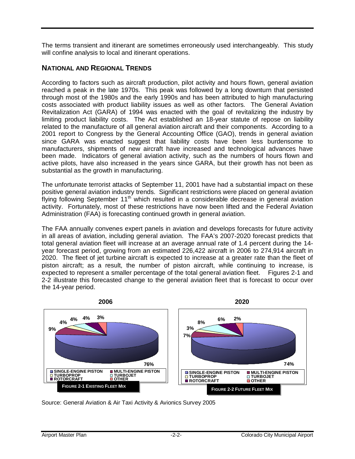The terms transient and itinerant are sometimes erroneously used interchangeably. This study will confine analysis to local and itinerant operations.

# **NATIONAL AND REGIONAL TRENDS**

According to factors such as aircraft production, pilot activity and hours flown, general aviation reached a peak in the late 1970s. This peak was followed by a long downturn that persisted through most of the 1980s and the early 1990s and has been attributed to high manufacturing costs associated with product liability issues as well as other factors. The General Aviation Revitalization Act (GARA) of 1994 was enacted with the goal of revitalizing the industry by limiting product liability costs. The Act established an 18-year statute of repose on liability related to the manufacture of all general aviation aircraft and their components. According to a 2001 report to Congress by the General Accounting Office (GAO), trends in general aviation since GARA was enacted suggest that liability costs have been less burdensome to manufacturers, shipments of new aircraft have increased and technological advances have been made. Indicators of general aviation activity, such as the numbers of hours flown and active pilots, have also increased in the years since GARA, but their growth has not been as substantial as the growth in manufacturing.

The unfortunate terrorist attacks of September 11, 2001 have had a substantial impact on these positive general aviation industry trends. Significant restrictions were placed on general aviation flying following September 11<sup>th</sup> which resulted in a considerable decrease in general aviation activity. Fortunately, most of these restrictions have now been lifted and the Federal Aviation Administration (FAA) is forecasting continued growth in general aviation.

The FAA annually convenes expert panels in aviation and develops forecasts for future activity in all areas of aviation, including general aviation. The FAA's 2007-2020 forecast predicts that total general aviation fleet will increase at an average annual rate of 1.4 percent during the 14 year forecast period, growing from an estimated 226,422 aircraft in 2006 to 274,914 aircraft in 2020. The fleet of jet turbine aircraft is expected to increase at a greater rate than the fleet of piston aircraft; as a result, the number of piston aircraft, while continuing to increase, is expected to represent a smaller percentage of the total general aviation fleet. Figures 2-1 and 2-2 illustrate this forecasted change to the general aviation fleet that is forecast to occur over the 14-year period.



Source: General Aviation & Air Taxi Activity & Avionics Survey 2005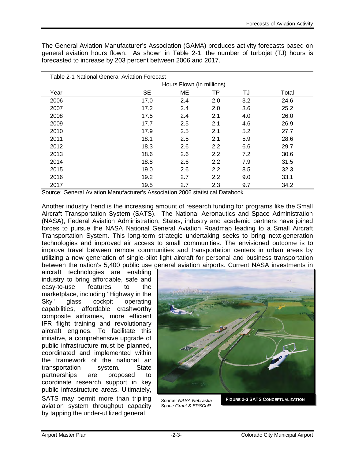The General Aviation Manufacturer's Association (GAMA) produces activity forecasts based on general aviation hours flown. As shown in Table 2-1, the number of turbojet (TJ) hours is forecasted to increase by 203 percent between 2006 and 2017.

| Table 2-1 National General Aviation Forecast |           |                           |     |     |       |  |  |  |  |
|----------------------------------------------|-----------|---------------------------|-----|-----|-------|--|--|--|--|
|                                              |           | Hours Flown (in millions) |     |     |       |  |  |  |  |
| Year                                         | <b>SE</b> | <b>ME</b>                 | ΤP  | TJ  | Total |  |  |  |  |
| 2006                                         | 17.0      | 2.4                       | 2.0 | 3.2 | 24.6  |  |  |  |  |
| 2007                                         | 17.2      | 2.4                       | 2.0 | 3.6 | 25.2  |  |  |  |  |
| 2008                                         | 17.5      | 2.4                       | 2.1 | 4.0 | 26.0  |  |  |  |  |
| 2009                                         | 17.7      | 2.5                       | 2.1 | 4.6 | 26.9  |  |  |  |  |
| 2010                                         | 17.9      | 2.5                       | 2.1 | 5.2 | 27.7  |  |  |  |  |
| 2011                                         | 18.1      | 2.5                       | 2.1 | 5.9 | 28.6  |  |  |  |  |
| 2012                                         | 18.3      | 2.6                       | 2.2 | 6.6 | 29.7  |  |  |  |  |
| 2013                                         | 18.6      | 2.6                       | 2.2 | 7.2 | 30.6  |  |  |  |  |
| 2014                                         | 18.8      | 2.6                       | 2.2 | 7.9 | 31.5  |  |  |  |  |
| 2015                                         | 19.0      | 2.6                       | 2.2 | 8.5 | 32.3  |  |  |  |  |
| 2016                                         | 19.2      | 2.7                       | 2.2 | 9.0 | 33.1  |  |  |  |  |
| 2017                                         | 19.5      | 2.7                       | 2.3 | 9.7 | 34.2  |  |  |  |  |

Source: General Aviation Manufacturer's Association 2006 statistical Databook

Another industry trend is the increasing amount of research funding for programs like the Small Aircraft Transportation System (SATS). The National Aeronautics and Space Administration (NASA), Federal Aviation Administration, States, industry and academic partners have joined forces to pursue the NASA National General Aviation Roadmap leading to a Small Aircraft Transportation System. This long-term strategic undertaking seeks to bring next-generation technologies and improved air access to small communities. The envisioned outcome is to improve travel between remote communities and transportation centers in urban areas by utilizing a new generation of single-pilot light aircraft for personal and business transportation between the nation's 5,400 public use general aviation airports. Current NASA investments in

aircraft technologies are enabling industry to bring affordable, safe and easy-to-use features to the marketplace, including "Highway in the Sky" glass cockpit operating capabilities, affordable crashworthy composite airframes, more efficient IFR flight training and revolutionary aircraft engines. To facilitate this initiative, a comprehensive upgrade of public infrastructure must be planned, coordinated and implemented within the framework of the national air transportation system. State partnerships are proposed to coordinate research support in key public infrastructure areas. Ultimately, SATS may permit more than tripling aviation system throughput capacity by tapping the under-utilized general



*Source: NASA Nebraska Space Grant & EPSCoR*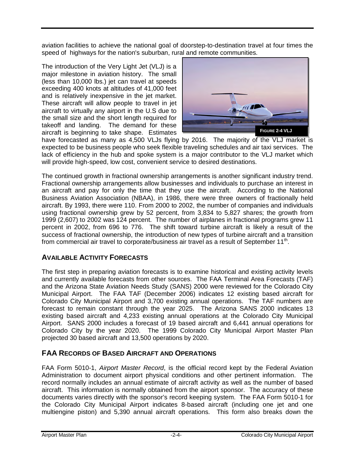aviation facilities to achieve the national goal of doorstep-to-destination travel at four times the speed of highways for the nation's suburban, rural and remote communities.

The introduction of the Very Light Jet (VLJ) is a major milestone in aviation history. The small (less than 10,000 lbs.) jet can travel at speeds exceeding 400 knots at altitudes of 41,000 feet and is relatively inexpensive in the jet market. These aircraft will allow people to travel in jet aircraft to virtually any airport in the U.S due to the small size and the short length required for takeoff and landing. The demand for these aircraft is beginning to take shape. Estimates



have forecasted as many as 4,500 VLJs flying by 2016. The majority of the VLJ market is expected to be business people who seek flexible traveling schedules and air taxi services. The lack of efficiency in the hub and spoke system is a major contributor to the VLJ market which will provide high-speed, low cost, convenient service to desired destinations.

The continued growth in fractional ownership arrangements is another significant industry trend. Fractional ownership arrangements allow businesses and individuals to purchase an interest in an aircraft and pay for only the time that they use the aircraft. According to the National Business Aviation Association (NBAA), in 1986, there were three owners of fractionally held aircraft. By 1993, there were 110. From 2000 to 2002, the number of companies and individuals using fractional ownership grew by 52 percent, from 3,834 to 5,827 shares; the growth from 1999 (2,607) to 2002 was 124 percent. The number of airplanes in fractional programs grew 11 percent in 2002, from 696 to 776. The shift toward turbine aircraft is likely a result of the success of fractional ownership, the introduction of new types of turbine aircraft and a transition from commercial air travel to corporate/business air travel as a result of September  $11<sup>th</sup>$ .

# **AVAILABLE ACTIVITY FORECASTS**

The first step in preparing aviation forecasts is to examine historical and existing activity levels and currently available forecasts from other sources. The FAA Terminal Area Forecasts (TAF) and the Arizona State Aviation Needs Study (SANS) 2000 were reviewed for the Colorado City Municipal Airport. The FAA TAF (December 2006) indicates 12 existing based aircraft for Colorado City Municipal Airport and 3,700 existing annual operations. The TAF numbers are forecast to remain constant through the year 2025. The Arizona SANS 2000 indicates 13 existing based aircraft and 4,233 existing annual operations at the Colorado City Municipal Airport. SANS 2000 includes a forecast of 19 based aircraft and 6,441 annual operations for Colorado City by the year 2020. The 1999 Colorado City Municipal Airport Master Plan projected 30 based aircraft and 13,500 operations by 2020.

# **FAA RECORDS OF BASED AIRCRAFT AND OPERATIONS**

FAA Form 5010-1, *Airport Master Record*, is the official record kept by the Federal Aviation Administration to document airport physical conditions and other pertinent information. The record normally includes an annual estimate of aircraft activity as well as the number of based aircraft. This information is normally obtained from the airport sponsor. The accuracy of these documents varies directly with the sponsor's record keeping system. The FAA Form 5010-1 for the Colorado City Municipal Airport indicates 8-based aircraft (including one jet and one multiengine piston) and 5,390 annual aircraft operations. This form also breaks down the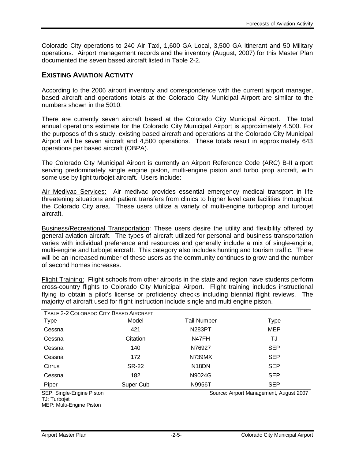Colorado City operations to 240 Air Taxi, 1,600 GA Local, 3,500 GA Itinerant and 50 Military operations. Airport management records and the inventory (August, 2007) for this Master Plan documented the seven based aircraft listed in Table 2-2.

#### **EXISTING AVIATION ACTIVITY**

According to the 2006 airport inventory and correspondence with the current airport manager, based aircraft and operations totals at the Colorado City Municipal Airport are similar to the numbers shown in the 5010.

There are currently seven aircraft based at the Colorado City Municipal Airport. The total annual operations estimate for the Colorado City Municipal Airport is approximately 4,500. For the purposes of this study, existing based aircraft and operations at the Colorado City Municipal Airport will be seven aircraft and 4,500 operations. These totals result in approximately 643 operations per based aircraft (OBPA).

The Colorado City Municipal Airport is currently an Airport Reference Code (ARC) B-II airport serving predominately single engine piston, multi-engine piston and turbo prop aircraft, with some use by light turbojet aircraft. Users include:

Air Medivac Services: Air medivac provides essential emergency medical transport in life threatening situations and patient transfers from clinics to higher level care facilities throughout the Colorado City area. These users utilize a variety of multi-engine turboprop and turbojet aircraft.

Business/Recreational Transportation: These users desire the utility and flexibility offered by general aviation aircraft. The types of aircraft utilized for personal and business transportation varies with individual preference and resources and generally include a mix of single-engine, multi-engine and turbojet aircraft. This category also includes hunting and tourism traffic. There will be an increased number of these users as the community continues to grow and the number of second homes increases.

Flight Training: Flight schools from other airports in the state and region have students perform cross-country flights to Colorado City Municipal Airport. Flight training includes instructional flying to obtain a pilot's license or proficiency checks including biennial flight reviews. The majority of aircraft used for flight instruction include single and multi engine piston.

| TABLE 2-2 COLORADO CITY BASED AIRCRAFT                               |              |                    |            |  |  |  |  |  |  |  |
|----------------------------------------------------------------------|--------------|--------------------|------------|--|--|--|--|--|--|--|
| <b>Type</b>                                                          | Model        | Tail Number        | Type       |  |  |  |  |  |  |  |
| Cessna                                                               | 421          | <b>N283PT</b>      | <b>MEP</b> |  |  |  |  |  |  |  |
| Cessna                                                               | Citation     | N47FH              | TJ         |  |  |  |  |  |  |  |
| Cessna                                                               | 140          | N76927             | <b>SEP</b> |  |  |  |  |  |  |  |
| Cessna                                                               | 172          | N739MX             | <b>SEP</b> |  |  |  |  |  |  |  |
| Cirrus                                                               | <b>SR-22</b> | N <sub>18</sub> DN | <b>SEP</b> |  |  |  |  |  |  |  |
| Cessna                                                               | 182          | N9024G             | <b>SEP</b> |  |  |  |  |  |  |  |
| Piper                                                                | Super Cub    | N9956T             | <b>SEP</b> |  |  |  |  |  |  |  |
| SEP: Single-Engine Piston<br>Source: Airport Management, August 2007 |              |                    |            |  |  |  |  |  |  |  |

TJ: Turbojet MEP: Multi-Engine Piston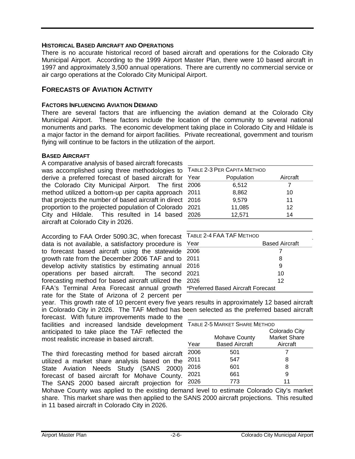#### **HISTORICAL BASED AIRCRAFT AND OPERATIONS**

There is no accurate historical record of based aircraft and operations for the Colorado City Municipal Airport. According to the 1999 Airport Master Plan, there were 10 based aircraft in 1997 and approximately 3,500 annual operations. There are currently no commercial service or air cargo operations at the Colorado City Municipal Airport.

#### **FORECASTS OF AVIATION ACTIVITY**

#### **FACTORS INFLUENCING AVIATION DEMAND**

There are several factors that are influencing the aviation demand at the Colorado City Municipal Airport. These factors include the location of the community to several national monuments and parks. The economic development taking place in Colorado City and Hildale is a major factor in the demand for airport facilities. Private recreational, government and tourism flying will continue to be factors in the utilization of the airport.

#### **BASED AIRCRAFT**

A comparative analysis of based aircraft forecasts was accomplished using three methodologies to derive a preferred forecast of based aircraft for the Colorado City Municipal Airport. The first method utilized a bottom-up per capita approach that projects the number of based aircraft in direct proportion to the projected population of Colorado City and Hildale. This resulted in 14 based aircraft at Colorado City in 2026.

According to FAA Order 5090.3C, when forecast data is not available, a satisfactory procedure is to forecast based aircraft using the statewide growth rate from the December 2006 TAF and to develop activity statistics by estimating annual operations per based aircraft. The second forecasting method for based aircraft utilized the FAA's Terminal Area Forecast annual growth rate for the State of Arizona of 2 percent per

| TABLE 2-3 PER CAPITA METHOD |          |  |  |  |  |  |  |
|-----------------------------|----------|--|--|--|--|--|--|
| Population                  | Aircraft |  |  |  |  |  |  |
| 6,512                       | 7        |  |  |  |  |  |  |
| 8,862                       | 10       |  |  |  |  |  |  |
| 9,579                       | 11       |  |  |  |  |  |  |
| 11,085                      | 12       |  |  |  |  |  |  |
| 12,571                      | 14       |  |  |  |  |  |  |
|                             |          |  |  |  |  |  |  |

| TABLE 2-4 FAA TAF METHOD           |                       |  |  |  |
|------------------------------------|-----------------------|--|--|--|
| Year                               | <b>Based Aircraft</b> |  |  |  |
| 2006                               |                       |  |  |  |
| 2011                               | 8                     |  |  |  |
| 2016                               | 9                     |  |  |  |
| 2021                               | 10                    |  |  |  |
| 2026                               | 12                    |  |  |  |
| *Preferred Based Aircraft Forecast |                       |  |  |  |

year. This growth rate of 10 percent every five years results in approximately 12 based aircraft in Colorado City in 2026. The TAF Method has been selected as the preferred based aircraft

forecast. With future improvements made to the facilities and increased landside development anticipated to take place the TAF reflected the most realistic increase in based aircraft.

The third forecasting method for based aircraft utilized a market share analysis based on the State Aviation Needs Study (SANS 2000) forecast of based aircraft for Mohave County. The SANS 2000 based aircraft projection for

| TABLE 2-5 MARKET SHARE METHOD |                       |                      |  |  |  |  |
|-------------------------------|-----------------------|----------------------|--|--|--|--|
|                               |                       | <b>Colorado City</b> |  |  |  |  |
|                               | <b>Mohave County</b>  | <b>Market Share</b>  |  |  |  |  |
| Year                          | <b>Based Aircraft</b> | Aircraft             |  |  |  |  |
| 2006                          | 501                   |                      |  |  |  |  |
| 2011                          | 547                   | 8                    |  |  |  |  |
| 2016                          | 601                   | 8                    |  |  |  |  |
| 2021                          | 661                   | 9                    |  |  |  |  |
| 2026                          | 773                   | 11                   |  |  |  |  |

Mohave County was applied to the existing demand level to estimate Colorado City's market share. This market share was then applied to the SANS 2000 aircraft projections. This resulted in 11 based aircraft in Colorado City in 2026.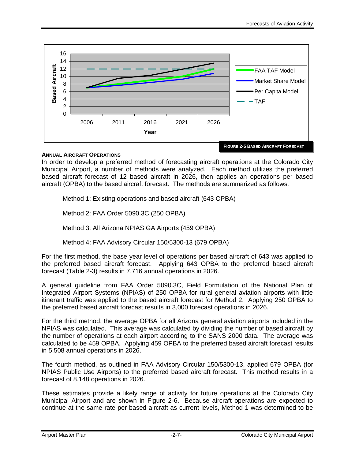

#### **ANNUAL AIRCRAFT OPERATIONS**

In order to develop a preferred method of forecasting aircraft operations at the Colorado City Municipal Airport, a number of methods were analyzed. Each method utilizes the preferred based aircraft forecast of 12 based aircraft in 2026, then applies an operations per based aircraft (OPBA) to the based aircraft forecast. The methods are summarized as follows:

Method 1: Existing operations and based aircraft (643 OPBA)

Method 2: FAA Order 5090.3C (250 OPBA)

Method 3: All Arizona NPIAS GA Airports (459 OPBA)

Method 4: FAA Advisory Circular 150/5300-13 (679 OPBA)

For the first method, the base year level of operations per based aircraft of 643 was applied to the preferred based aircraft forecast. Applying 643 OPBA to the preferred based aircraft forecast (Table 2-3) results in 7,716 annual operations in 2026.

A general guideline from FAA Order 5090.3C, Field Formulation of the National Plan of Integrated Airport Systems (NPIAS) of 250 OPBA for rural general aviation airports with little itinerant traffic was applied to the based aircraft forecast for Method 2. Applying 250 OPBA to the preferred based aircraft forecast results in 3,000 forecast operations in 2026.

For the third method, the average OPBA for all Arizona general aviation airports included in the NPIAS was calculated. This average was calculated by dividing the number of based aircraft by the number of operations at each airport according to the SANS 2000 data. The average was calculated to be 459 OPBA. Applying 459 OPBA to the preferred based aircraft forecast results in 5,508 annual operations in 2026.

The fourth method, as outlined in FAA Advisory Circular 150/5300-13, applied 679 OPBA (for NPIAS Public Use Airports) to the preferred based aircraft forecast. This method results in a forecast of 8,148 operations in 2026.

These estimates provide a likely range of activity for future operations at the Colorado City Municipal Airport and are shown in Figure 2-6. Because aircraft operations are expected to continue at the same rate per based aircraft as current levels, Method 1 was determined to be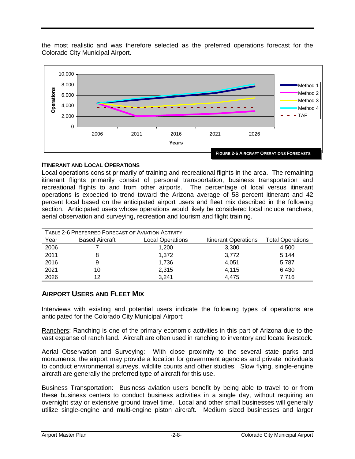the most realistic and was therefore selected as the preferred operations forecast for the Colorado City Municipal Airport.



#### **ITINERANT AND LOCAL OPERATIONS**

Local operations consist primarily of training and recreational flights in the area. The remaining itinerant flights primarily consist of personal transportation, business transportation and recreational flights to and from other airports. The percentage of local versus itinerant operations is expected to trend toward the Arizona average of 58 percent itinerant and 42 percent local based on the anticipated airport users and fleet mix described in the following section. Anticipated users whose operations would likely be considered local include ranchers, aerial observation and surveying, recreation and tourism and flight training.

| TABLE 2-6 PREFERRED FORECAST OF AVIATION ACTIVITY |                       |                         |                             |                         |  |  |  |  |  |
|---------------------------------------------------|-----------------------|-------------------------|-----------------------------|-------------------------|--|--|--|--|--|
| Year                                              | <b>Based Aircraft</b> | <b>Local Operations</b> | <b>Itinerant Operations</b> | <b>Total Operations</b> |  |  |  |  |  |
| 2006                                              |                       | 1,200                   | 3,300                       | 4,500                   |  |  |  |  |  |
| 2011                                              |                       | 1,372                   | 3,772                       | 5,144                   |  |  |  |  |  |
| 2016                                              | 9                     | 1.736                   | 4,051                       | 5,787                   |  |  |  |  |  |
| 2021                                              | 10                    | 2,315                   | 4,115                       | 6,430                   |  |  |  |  |  |
| 2026                                              | 12                    | 3,241                   | 4.475                       | 7,716                   |  |  |  |  |  |

## **AIRPORT USERS AND FLEET MIX**

Interviews with existing and potential users indicate the following types of operations are anticipated for the Colorado City Municipal Airport:

Ranchers: Ranching is one of the primary economic activities in this part of Arizona due to the vast expanse of ranch land. Aircraft are often used in ranching to inventory and locate livestock.

Aerial Observation and Surveying: With close proximity to the several state parks and monuments, the airport may provide a location for government agencies and private individuals to conduct environmental surveys, wildlife counts and other studies. Slow flying, single-engine aircraft are generally the preferred type of aircraft for this use.

Business Transportation: Business aviation users benefit by being able to travel to or from these business centers to conduct business activities in a single day, without requiring an overnight stay or extensive ground travel time. Local and other small businesses will generally utilize single-engine and multi-engine piston aircraft. Medium sized businesses and larger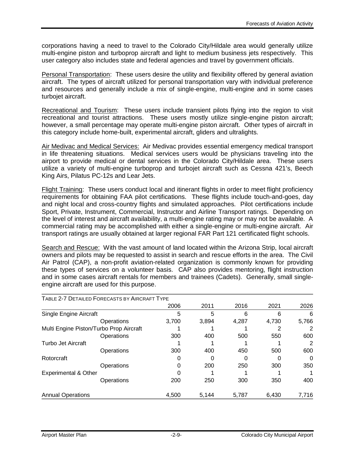corporations having a need to travel to the Colorado City/Hildale area would generally utilize multi-engine piston and turboprop aircraft and light to medium business jets respectively. This user category also includes state and federal agencies and travel by government officials.

Personal Transportation: These users desire the utility and flexibility offered by general aviation aircraft. The types of aircraft utilized for personal transportation vary with individual preference and resources and generally include a mix of single-engine, multi-engine and in some cases turbojet aircraft.

Recreational and Tourism: These users include transient pilots flying into the region to visit recreational and tourist attractions. These users mostly utilize single-engine piston aircraft; however, a small percentage may operate multi-engine piston aircraft. Other types of aircraft in this category include home-built, experimental aircraft, gliders and ultralights.

Air Medivac and Medical Services: Air Medivac provides essential emergency medical transport in life threatening situations. Medical services users would be physicians traveling into the airport to provide medical or dental services in the Colorado City/Hildale area. These users utilize a variety of multi-engine turboprop and turbojet aircraft such as Cessna 421's, Beech King Airs, Pilatus PC-12s and Lear Jets.

Flight Training: These users conduct local and itinerant flights in order to meet flight proficiency requirements for obtaining FAA pilot certifications. These flights include touch-and-goes, day and night local and cross-country flights and simulated approaches. Pilot certifications include Sport, Private, Instrument, Commercial, Instructor and Airline Transport ratings. Depending on the level of interest and aircraft availability, a multi-engine rating may or may not be available. A commercial rating may be accomplished with either a single-engine or multi-engine aircraft. Air transport ratings are usually obtained at larger regional FAR Part 121 certificated flight schools.

Search and Rescue: With the vast amount of land located within the Arizona Strip, local aircraft owners and pilots may be requested to assist in search and rescue efforts in the area. The Civil Air Patrol (CAP), a non-profit aviation-related organization is commonly known for providing these types of services on a volunteer basis. CAP also provides mentoring, flight instruction and in some cases aircraft rentals for members and trainees (Cadets). Generally, small singleengine aircraft are used for this purpose.

| TABLE 2-7 DETAILED FORECASTS BY AIRCRAFT TYPE |            |       |       |       |       |              |
|-----------------------------------------------|------------|-------|-------|-------|-------|--------------|
|                                               |            | 2006  | 2011  | 2016  | 2021  | 2026         |
| Single Engine Aircraft                        |            | 5     | 5     | 6     | 6     | 6            |
|                                               | Operations | 3,700 | 3,894 | 4,287 | 4,730 | 5,766        |
| Multi Engine Piston/Turbo Prop Aircraft       |            |       |       |       |       |              |
|                                               | Operations | 300   | 400   | 500   | 550   | 600          |
| <b>Turbo Jet Aircraft</b>                     |            |       |       |       |       |              |
|                                               | Operations | 300   | 400   | 450   | 500   | 600          |
| Rotorcraft                                    |            |       |       |       |       | $\mathbf{0}$ |
|                                               | Operations |       | 200   | 250   | 300   | 350          |
| <b>Experimental &amp; Other</b>               |            |       |       |       |       |              |
|                                               | Operations | 200   | 250   | 300   | 350   | 400          |
| <b>Annual Operations</b>                      |            | 4.500 | 5.144 | 5,787 | 6,430 | 7,716        |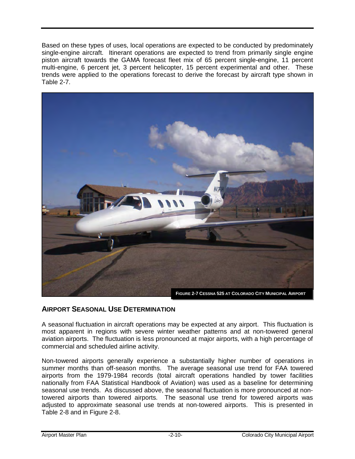Based on these types of uses, local operations are expected to be conducted by predominately single-engine aircraft. Itinerant operations are expected to trend from primarily single engine piston aircraft towards the GAMA forecast fleet mix of 65 percent single-engine, 11 percent multi-engine, 6 percent jet, 3 percent helicopter, 15 percent experimental and other. These trends were applied to the operations forecast to derive the forecast by aircraft type shown in Table 2-7.



## **AIRPORT SEASONAL USE DETERMINATION**

A seasonal fluctuation in aircraft operations may be expected at any airport. This fluctuation is most apparent in regions with severe winter weather patterns and at non-towered general aviation airports. The fluctuation is less pronounced at major airports, with a high percentage of commercial and scheduled airline activity.

Non-towered airports generally experience a substantially higher number of operations in summer months than off-season months. The average seasonal use trend for FAA towered airports from the 1979-1984 records (total aircraft operations handled by tower facilities nationally from FAA Statistical Handbook of Aviation) was used as a baseline for determining seasonal use trends. As discussed above, the seasonal fluctuation is more pronounced at nontowered airports than towered airports. The seasonal use trend for towered airports was adjusted to approximate seasonal use trends at non-towered airports. This is presented in Table 2-8 and in Figure 2-8.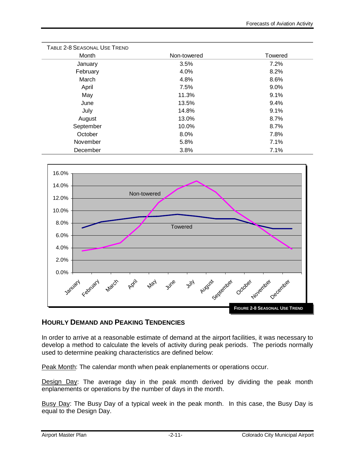| TABLE 2-8 SEASONAL USE TREND |             |                |
|------------------------------|-------------|----------------|
| Month                        | Non-towered | <b>Towered</b> |
| January                      | 3.5%        | 7.2%           |
| February                     | 4.0%        | 8.2%           |
| March                        | 4.8%        | 8.6%           |
| April                        | 7.5%        | 9.0%           |
| May                          | 11.3%       | 9.1%           |
| June                         | 13.5%       | 9.4%           |
| July                         | 14.8%       | 9.1%           |
| August                       | 13.0%       | 8.7%           |
| September                    | 10.0%       | 8.7%           |
| October                      | 8.0%        | 7.8%           |
| November                     | 5.8%        | 7.1%           |
| December                     | 3.8%        | 7.1%           |



# **HOURLY DEMAND AND PEAKING TENDENCIES**

In order to arrive at a reasonable estimate of demand at the airport facilities, it was necessary to develop a method to calculate the levels of activity during peak periods. The periods normally used to determine peaking characteristics are defined below:

Peak Month: The calendar month when peak enplanements or operations occur.

Design Day: The average day in the peak month derived by dividing the peak month enplanements or operations by the number of days in the month.

Busy Day: The Busy Day of a typical week in the peak month. In this case, the Busy Day is equal to the Design Day.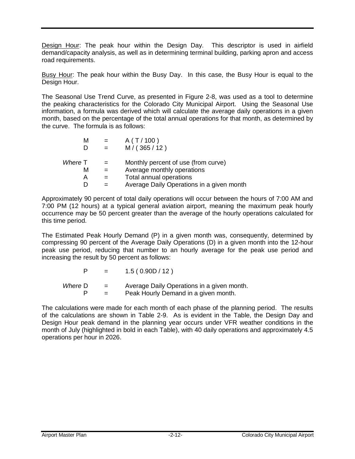Design Hour: The peak hour within the Design Day. This descriptor is used in airfield demand/capacity analysis, as well as in determining terminal building, parking apron and access road requirements.

Busy Hour: The peak hour within the Busy Day. In this case, the Busy Hour is equal to the Design Hour.

The Seasonal Use Trend Curve, as presented in Figure 2-8, was used as a tool to determine the peaking characteristics for the Colorado City Municipal Airport. Using the Seasonal Use information, a formula was derived which will calculate the average daily operations in a given month, based on the percentage of the total annual operations for that month, as determined by the curve. The formula is as follows:

| М       |         | A(T/100)                                  |
|---------|---------|-------------------------------------------|
|         |         | M/(365/12)                                |
|         |         |                                           |
| Where T | $=$ $-$ | Monthly percent of use (from curve)       |
| м       | $=$     | Average monthly operations                |
| А       |         | Total annual operations                   |
|         |         | Average Daily Operations in a given month |

Approximately 90 percent of total daily operations will occur between the hours of 7:00 AM and 7:00 PM (12 hours) at a typical general aviation airport, meaning the maximum peak hourly occurrence may be 50 percent greater than the average of the hourly operations calculated for this time period.

The Estimated Peak Hourly Demand (P) in a given month was, consequently, determined by compressing 90 percent of the Average Daily Operations (D) in a given month into the 12-hour peak use period, reducing that number to an hourly average for the peak use period and increasing the result by 50 percent as follows:

| P       | $\equiv$ $\equiv$ | 1.5(0.90D/12)                              |
|---------|-------------------|--------------------------------------------|
| Where D | $=$               | Average Daily Operations in a given month. |
|         |                   | Peak Hourly Demand in a given month.       |

The calculations were made for each month of each phase of the planning period. The results of the calculations are shown in Table 2-9. As is evident in the Table, the Design Day and Design Hour peak demand in the planning year occurs under VFR weather conditions in the month of July (highlighted in bold in each Table), with 40 daily operations and approximately 4.5 operations per hour in 2026.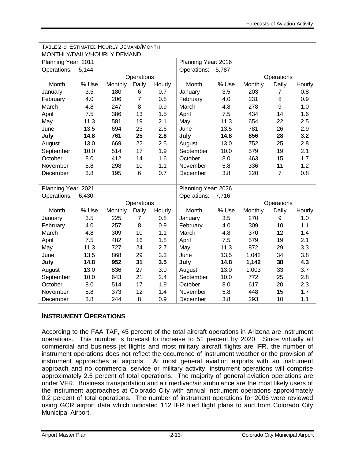| MONTHLY/DAILY/HOURLY DEMAND |       |         |                |        |                     |       |         |                |        |  |
|-----------------------------|-------|---------|----------------|--------|---------------------|-------|---------|----------------|--------|--|
| Planning Year: 2011         |       |         |                |        | Planning Year: 2016 |       |         |                |        |  |
| Operations:                 | 5,144 |         |                |        | Operations:         | 5,787 |         |                |        |  |
| Operations                  |       |         |                |        |                     |       |         | Operations     |        |  |
| Month                       | % Use | Monthly | Daily          | Hourly | Month               | % Use | Monthly | Daily          | Hourly |  |
| January                     | 3.5   | 180     | 6              | 0.7    | January             | 3.5   | 203     | $\overline{7}$ | 0.8    |  |
| February                    | 4.0   | 206     | $\overline{7}$ | 0.8    | February            | 4.0   | 231     | 8              | 0.9    |  |
| March                       | 4.8   | 247     | 8              | 0.9    | March               | 4.8   | 278     | 9              | 1.0    |  |
| April                       | 7.5   | 386     | 13             | 1.5    | April               | 7.5   | 434     | 14             | 1.6    |  |
| May                         | 11.3  | 581     | 19             | 2.1    | May                 | 11.3  | 654     | 22             | 2.5    |  |
| June                        | 13.5  | 694     | 23             | 2.6    | June                | 13.5  | 781     | 26             | 2.9    |  |
| July                        | 14.8  | 761     | 25             | 2.8    | July                | 14.8  | 856     | 28             | 3.2    |  |
| August                      | 13.0  | 669     | 22             | 2.5    | August              | 13.0  | 752     | 25             | 2.8    |  |
| September                   | 10.0  | 514     | 17             | 1.9    | September           | 10.0  | 579     | 19             | 2.1    |  |
| October                     | 8.0   | 412     | 14             | 1.6    | October             | 8.0   | 463     | 15             | 1.7    |  |
| November                    | 5.8   | 298     | 10             | 1.1    | November            | 5.8   | 336     | 11             | 1.2    |  |
| December                    | 3.8   | 195     | 6              | 0.7    | December            | 3.8   | 220     | $\overline{7}$ | 0.8    |  |
|                             |       |         |                |        |                     |       |         |                |        |  |
| Planning Year: 2021         |       |         |                |        | Planning Year: 2026 |       |         |                |        |  |
| Operations:                 | 6,430 |         |                |        | Operations:         | 7,716 |         |                |        |  |
|                             |       |         | Operations     |        |                     |       |         | Operations     |        |  |
| Month                       | % Use | Monthly | Daily          | Hourly | Month               | % Use | Monthly | Daily          | Hourly |  |
| January                     | 3.5   | 225     | $\overline{7}$ | 0.8    | January             | 3.5   | 270     | 9              | 1.0    |  |
| February                    | 4.0   | 257     | 8              | 0.9    | February            | 4.0   | 309     | 10             | 1.1    |  |
| March                       | 4.8   | 309     | 10             | 1.1    | March               | 4.8   | 370     | 12             | 1.4    |  |
| April                       | 7.5   | 482     | 16             | 1.8    | April               | 7.5   | 579     | 19             | 2.1    |  |
| May                         | 11.3  | 727     | 24             | 2.7    | May                 | 11.3  | 872     | 29             | 3.3    |  |
| June                        | 13.5  | 868     | 29             | 3.3    | June                | 13.5  | 1,042   | 34             | 3.8    |  |
| July                        | 14.8  | 952     | 31             | 3.5    | July                | 14.8  | 1,142   | 38             | 4.3    |  |
| August                      | 13.0  | 836     | 27             | 3.0    | August              | 13.0  | 1,003   | 33             | 3.7    |  |
| September                   | 10.0  | 643     | 21             | 2.4    | September           | 10.0  | 772     | 25             | 2.8    |  |
| October                     | 8.0   | 514     | 17             | 1.9    | October             | 8.0   | 617     | 20             | 2.3    |  |
| November                    | 5.8   | 373     | 12             | 1.4    | November            | 5.8   | 448     | 15             | 1.7    |  |
| December                    | 3.8   | 244     | 8              | 0.9    | December            | 3.8   | 293     | 10             | 1.1    |  |

# TABLE 2-9 ESTIMATED HOURLY DEMAND/MONTH

## **INSTRUMENT OPERATIONS**

According to the FAA TAF, 45 percent of the total aircraft operations in Arizona are instrument operations. This number is forecast to increase to 51 percent by 2020. Since virtually all commercial and business jet flights and most military aircraft flights are IFR, the number of instrument operations does not reflect the occurrence of instrument weather or the provision of instrument approaches at airports. At most general aviation airports with an instrument approach and no commercial service or military activity, instrument operations will comprise approximately 2.5 percent of total operations. The majority of general aviation operations are under VFR. Business transportation and air medivac/air ambulance are the most likely users of the instrument approaches at Colorado City with annual instrument operations approximately 0.2 percent of total operations. The number of instrument operations for 2006 were reviewed using GCR airport data which indicated 112 IFR filed flight plans to and from Colorado City Municipal Airport.